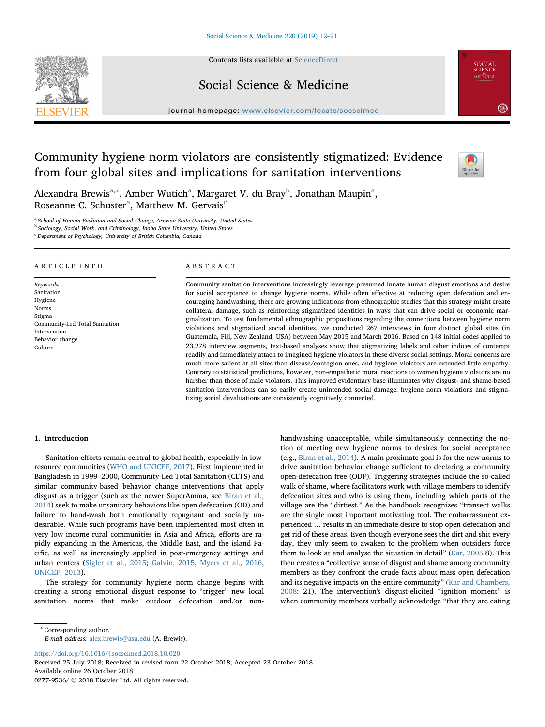Contents lists available at [ScienceDirect](http://www.sciencedirect.com/science/journal/02779536)





journal homepage: [www.elsevier.com/locate/socscimed](https://www.elsevier.com/locate/socscimed)

# Community hygiene norm violators are consistently stigmatized: Evidence from four global sites and implications for sanitation interventions



**SOCIAL**<br>SCIENCE<br>MEDICINE

 $\left(2.814\right)$ 

Alex[a](#page-0-0)ndra Brewis<sup>a,[∗](#page-0-1)</sup>, Am[b](#page-0-2)er Wutich<sup>a</sup>, Margaret V. du Bray<sup>b</sup>, Jonathan Maupin<sup>a</sup>, Rose[a](#page-0-0)nne C. S[c](#page-0-3)huster<sup>a</sup>, Matthew M. Gervais<sup>c</sup>

<span id="page-0-0"></span><sup>a</sup> School of Human Evolution and Social Change, Arizona State University, United States

<span id="page-0-2"></span><sup>b</sup> Sociology, Social Work, and Criminology, Idaho State University, United States

<span id="page-0-3"></span><sup>c</sup> Department of Psychology, University of British Columbia, Canada

#### ARTICLE INFO

Keywords: Sanitation Hygiene Norms Stigma Community-Led Total Sanitation Intervention Behavior change Culture

## ABSTRACT

Community sanitation interventions increasingly leverage presumed innate human disgust emotions and desire for social acceptance to change hygiene norms. While often effective at reducing open defecation and encouraging handwashing, there are growing indications from ethnographic studies that this strategy might create collateral damage, such as reinforcing stigmatized identities in ways that can drive social or economic marginalization. To test fundamental ethnographic propositions regarding the connections between hygiene norm violations and stigmatized social identities, we conducted 267 interviews in four distinct global sites (in Guatemala, Fiji, New Zealand, USA) between May 2015 and March 2016. Based on 148 initial codes applied to 23,278 interview segments, text-based analyses show that stigmatizing labels and other indices of contempt readily and immediately attach to imagined hygiene violators in these diverse social settings. Moral concerns are much more salient at all sites than disease/contagion ones, and hygiene violators are extended little empathy. Contrary to statistical predictions, however, non-empathetic moral reactions to women hygiene violators are no harsher than those of male violators. This improved evidentiary base illuminates why disgust- and shame-based sanitation interventions can so easily create unintended social damage: hygiene norm violations and stigmatizing social devaluations are consistently cognitively connected.

# 1. Introduction

Sanitation efforts remain central to global health, especially in lowresource communities [\(WHO and UNICEF, 2017\)](#page-9-0). First implemented in Bangladesh in 1999–2000, Community-Led Total Sanitation (CLTS) and similar community-based behavior change interventions that apply disgust as a trigger (such as the newer SuperAmma, see [Biran et al.,](#page-8-0) [2014\)](#page-8-0) seek to make unsanitary behaviors like open defecation (OD) and failure to hand-wash both emotionally repugnant and socially undesirable. While such programs have been implemented most often in very low income rural communities in Asia and Africa, efforts are rapidly expanding in the Americas, the Middle East, and the island Pacific, as well as increasingly applied in post-emergency settings and urban centers ([Sigler et al., 2015](#page-9-1); [Galvin, 2015,](#page-8-1) [Myers et al., 2016](#page-9-2), [UNICEF, 2013](#page-9-3)).

The strategy for community hygiene norm change begins with creating a strong emotional disgust response to "trigger" new local sanitation norms that make outdoor defecation and/or nonhandwashing unacceptable, while simultaneously connecting the notion of meeting new hygiene norms to desires for social acceptance (e.g., [Biran et al., 2014](#page-8-0)). A main proximate goal is for the new norms to drive sanitation behavior change sufficient to declaring a community open-defecation free (ODF). Triggering strategies include the so-called walk of shame, where facilitators work with village members to identify defecation sites and who is using them, including which parts of the village are the "dirtiest." As the handbook recognizes "transect walks are the single most important motivating tool. The embarrassment experienced … results in an immediate desire to stop open defecation and get rid of these areas. Even though everyone sees the dirt and shit every day, they only seem to awaken to the problem when outsiders force them to look at and analyse the situation in detail" [\(Kar, 2005](#page-9-4):8). This then creates a "collective sense of disgust and shame among community members as they confront the crude facts about mass open defecation and its negative impacts on the entire community" ([Kar and Chambers,](#page-9-5) [2008:](#page-9-5) 21). The intervention's disgust-elicited "ignition moment" is when community members verbally acknowledge "that they are eating

E-mail address: [alex.brewis@asu.edu](mailto:alex.brewis@asu.edu) (A. Brewis).

<https://doi.org/10.1016/j.socscimed.2018.10.020>

Received 25 July 2018; Received in revised form 22 October 2018; Accepted 23 October 2018 Available online 26 October 2018 0277-9536/ © 2018 Elsevier Ltd. All rights reserved.

<span id="page-0-1"></span><sup>∗</sup> Corresponding author.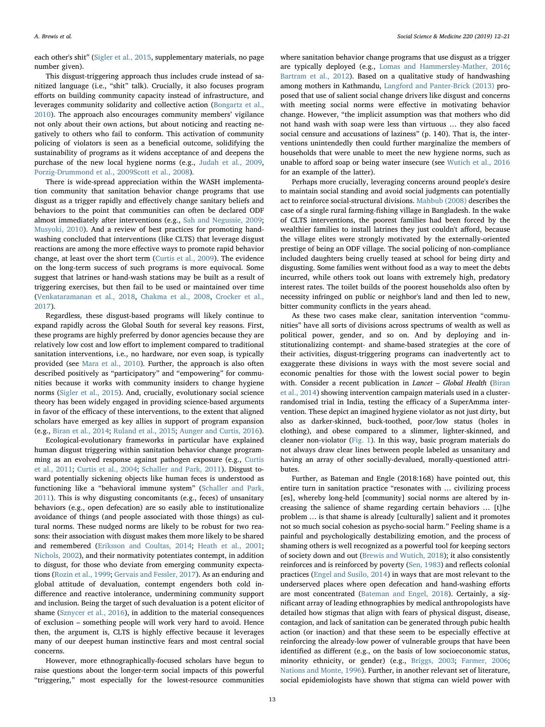each other's shit" [\(Sigler et al., 2015](#page-9-1), supplementary materials, no page number given).

This disgust-triggering approach thus includes crude instead of sanitized language (i.e., "shit" talk). Crucially, it also focuses program efforts on building community capacity instead of infrastructure, and leverages community solidarity and collective action ([Bongartz et al.,](#page-8-2) [2010\)](#page-8-2). The approach also encourages community members' vigilance not only about their own actions, but about noticing and reacting negatively to others who fail to conform. This activation of community policing of violators is seen as a beneficial outcome, solidifying the sustainability of programs as it widens acceptance of and deepens the purchase of the new local hygiene norms (e.g., [Judah et al., 2009](#page-9-6), [Porzig-Drummond et al., 2009](#page-9-7)[Scott et al., 2008](#page-9-8)).

There is wide-spread appreciation within the WASH implementation community that sanitation behavior change programs that use disgust as a trigger rapidly and effectively change sanitary beliefs and behaviors to the point that communities can often be declared ODF almost immediately after interventions (e.g., [Sah and Negussie, 2009](#page-9-9); [Musyoki, 2010](#page-9-10)). And a review of best practices for promoting handwashing concluded that interventions (like CLTS) that leverage disgust reactions are among the more effective ways to promote rapid behavior change, at least over the short term ([Curtis et al., 2009\)](#page-8-3). The evidence on the long-term success of such programs is more equivocal. Some suggest that latrines or hand-wash stations may be built as a result of triggering exercises, but then fail to be used or maintained over time ([Venkataramanan et al., 2018,](#page-9-11) [Chakma et al., 2008,](#page-8-4) [Crocker et al.,](#page-8-5) [2017\)](#page-8-5).

Regardless, these disgust-based programs will likely continue to expand rapidly across the Global South for several key reasons. First, these programs are highly preferred by donor agencies because they are relatively low cost and low effort to implement compared to traditional sanitation interventions, i.e., no hardware, nor even soap, is typically provided (see [Mara et al., 2010](#page-9-12)). Further, the approach is also often described positively as "participatory" and "empowering" for communities because it works with community insiders to change hygiene norms [\(Sigler et al., 2015\)](#page-9-1). And, crucially, evolutionary social science theory has been widely engaged in providing science-based arguments in favor of the efficacy of these interventions, to the extent that aligned scholars have emerged as key allies in support of program expansion (e.g., [Biran et al., 2014](#page-8-0); [Ruland et al., 2015;](#page-9-13) [Aunger and Curtis, 2016](#page-8-6)).

Ecological-evolutionary frameworks in particular have explained human disgust triggering within sanitation behavior change programming as an evolved response against pathogen exposure (e.g., [Curtis](#page-8-7) [et al., 2011](#page-8-7); Curtis [et al., 2004](#page-8-8); [Schaller and Park, 2011](#page-9-14)). Disgust toward potentially sickening objects like human feces is understood as functioning like a "behavioral immune system" ([Schaller and Park,](#page-9-14) [2011\)](#page-9-14). This is why disgusting concomitants (e.g., feces) of unsanitary behaviors (e.g., open defecation) are so easily able to institutionalize avoidance of things (and people associated with those things) as cultural norms. These nudged norms are likely to be robust for two reasons: their association with disgust makes them more likely to be shared and remembered [\(Eriksson and Coultas, 2014;](#page-8-9) [Heath et al., 2001](#page-9-15); [Nichols, 2002](#page-9-16)), and their normativity potentiates contempt, in addition to disgust, for those who deviate from emerging community expectations ([Rozin et al., 1999;](#page-9-17) [Gervais and Fessler, 2017](#page-8-10)). As an enduring and global attitude of devaluation, contempt engenders both cold indifference and reactive intolerance, undermining community support and inclusion. Being the target of such devaluation is a potent elicitor of shame ([Sznycer et al., 2016](#page-9-18)), in addition to the material consequences of exclusion – something people will work very hard to avoid. Hence then, the argument is, CLTS is highly effective because it leverages many of our deepest human instinctive fears and most central social concerns.

However, more ethnographically-focused scholars have begun to raise questions about the longer-term social impacts of this powerful "triggering," most especially for the lowest-resource communities

where sanitation behavior change programs that use disgust as a trigger are typically deployed (e.g., [Lomas and Hammersley-Mather, 2016](#page-9-19); [Bartram et al., 2012\)](#page-8-11). Based on a qualitative study of handwashing among mothers in Kathmandu, [Langford and Panter-Brick \(2013\)](#page-9-20) proposed that use of salient social change drivers like disgust and concerns with meeting social norms were effective in motivating behavior change. However, "the implicit assumption was that mothers who did not hand wash with soap were less than virtuous … they also faced social censure and accusations of laziness" (p. 140). That is, the interventions unintendedly then could further marginalize the members of households that were unable to meet the new hygiene norms, such as unable to afford soap or being water insecure (see [Wutich et al., 2016](#page-9-21) for an example of the latter).

Perhaps more crucially, leveraging concerns around people's desire to maintain social standing and avoid social judgments can potentially act to reinforce social-structural divisions. [Mahbub \(2008\)](#page-9-22) describes the case of a single rural farming-fishing village in Bangladesh. In the wake of CLTS interventions, the poorest families had been forced by the wealthier families to install latrines they just couldn't afford, because the village elites were strongly motivated by the externally-oriented prestige of being an ODF village. The social policing of non-compliance included daughters being cruelly teased at school for being dirty and disgusting. Some families went without food as a way to meet the debts incurred, while others took out loans with extremely high, predatory interest rates. The toilet builds of the poorest households also often by necessity infringed on public or neighbor's land and then led to new, bitter community conflicts in the years ahead.

As these two cases make clear, sanitation intervention "communities" have all sorts of divisions across spectrums of wealth as well as political power, gender, and so on. And by deploying and institutionalizing contempt- and shame-based strategies at the core of their activities, disgust-triggering programs can inadvertently act to exaggerate these divisions in ways with the most severe social and economic penalties for those with the lowest social power to begin with. Consider a recent publication in Lancet – Global Health ([Biran](#page-8-0) [et al., 2014](#page-8-0)) showing intervention campaign materials used in a clusterrandomised trial in India, testing the efficacy of a SuperAmma intervention. These depict an imagined hygiene violator as not just dirty, but also as darker-skinned, buck-toothed, poor/low status (holes in clothing), and obese compared to a slimmer, lighter-skinned, and cleaner non-violator ([Fig. 1](#page-2-0)). In this way, basic program materials do not always draw clear lines between people labeled as unsanitary and having an array of other socially-devalued, morally-questioned attributes.

Further, as Bateman and Engle (2018:168) have pointed out, this entire turn in sanitation practice "resonates with … civilizing process [es], whereby long-held [community] social norms are altered by increasing the salience of shame regarding certain behaviors … [t]he problem … is that shame is already [culturally] salient and it promotes not so much social cohesion as psycho-social harm." Feeling shame is a painful and psychologically destabilizing emotion, and the process of shaming others is well recognized as a powerful tool for keeping sectors of society down and out [\(Brewis and Wutich, 2018](#page-8-12)); it also consistently reinforces and is reinforced by poverty [\(Sen, 1983\)](#page-9-23) and reflects colonial practices [\(Engel and Susilo, 2014](#page-8-13)) in ways that are most relevant to the underserved places where open defecation and hand-washing efforts are most concentrated ([Bateman and Engel, 2018](#page-8-14)). Certainly, a significant array of leading ethnographies by medical anthropologists have detailed how stigmas that align with fears of physical disgust, disease, contagion, and lack of sanitation can be generated through pubic health action (or inaction) and that these seem to be especially effective at reinforcing the already-low power of vulnerable groups that have been identified as different (e.g., on the basis of low socioeconomic status, minority ethnicity, or gender) (e.g., [Briggs, 2003](#page-8-15); [Farmer, 2006](#page-8-16); [Nations and Monte, 1996](#page-9-24)). Further, in another relevant set of literature, social epidemiologists have shown that stigma can wield power with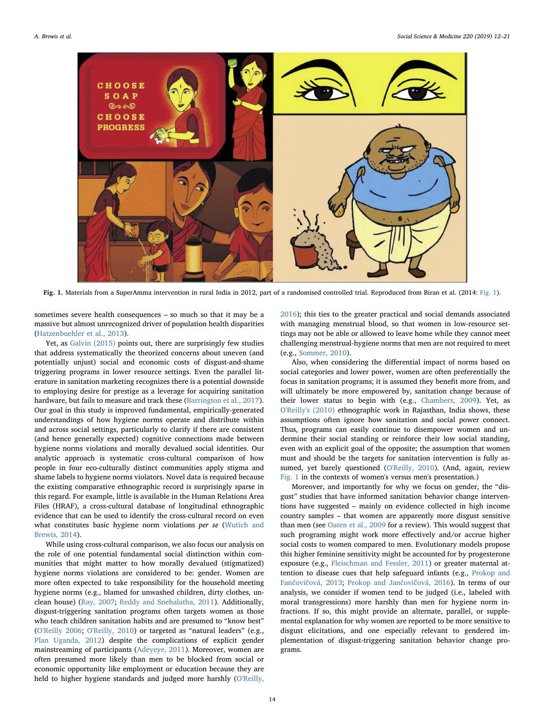<span id="page-2-0"></span>

Fig. 1. Materials from a SuperAmma intervention in rural India in 2012, part of a randomised controlled trial. Reproduced from Biran et al. (2014: [Fig. 1](#page-2-0)).

sometimes severe health consequences – so much so that it may be a massive but almost unrecognized driver of population health disparities ([Hatzenbuehler et al., 2013\)](#page-9-25).

Yet, as [Galvin \(2015\)](#page-8-1) points out, there are surprisingly few studies that address systematically the theorized concerns about uneven (and potentially unjust) social and economic costs of disgust-and-shame triggering programs in lower resource settings. Even the parallel literature in sanitation marketing recognizes there is a potential downside to employing desire for prestige as a leverage for acquiring sanitation hardware, but fails to measure and track these [\(Barrington et al., 2017](#page-8-17)). Our goal in this study is improved fundamental, empirically-generated understandings of how hygiene norms operate and distribute within and across social settings, particularly to clarify if there are consistent (and hence generally expected) cognitive connections made between hygiene norms violations and morally devalued social identities. Our analytic approach is systematic cross-cultural comparison of how people in four eco-culturally distinct communities apply stigma and shame labels to hygiene norms violators. Novel data is required because the existing comparative ethnographic record is surprisingly sparse in this regard. For example, little is available in the Human Relations Area Files (HRAF), a cross-cultural database of longitudinal ethnographic evidence that can be used to identify the cross-cultural record on even what constitutes basic hygiene norm violations per se ([Wutich and](#page-9-26) [Brewis, 2014](#page-9-26)).

While using cross-cultural comparison, we also focus our analysis on the role of one potential fundamental social distinction within communities that might matter to how morally devalued (stigmatized) hygiene norms violations are considered to be: gender. Women are more often expected to take responsibility for the household meeting hygiene norms (e.g., blamed for unwashed children, dirty clothes, unclean house) ([Ray, 2007](#page-9-27); [Reddy and Snehalatha, 2011](#page-9-28)). Additionally, disgust-triggering sanitation programs often targets women as those who teach children sanitation habits and are presumed to "know best" ([O'Reilly 2006;](#page-9-29) [O'Reilly, 2010](#page-9-30)) or targeted as "natural leaders" (e.g., [Plan Uganda, 2012](#page-9-31)) despite the complications of explicit gender mainstreaming of participants ([Adeyeye, 2011\)](#page-8-18). Moreover, women are often presumed more likely than men to be blocked from social or economic opportunity like employment or education because they are held to higher hygiene standards and judged more harshly ([O'Reilly,](#page-9-32)

[2016\)](#page-9-32); this ties to the greater practical and social demands associated with managing menstrual blood, so that women in low-resource settings may not be able or allowed to leave home while they cannot meet challenging menstrual-hygiene norms that men are not required to meet (e.g., [Sommer, 2010\)](#page-9-33).

Also, when considering the differential impact of norms based on social categories and lower power, women are often preferentially the focus in sanitation programs; it is assumed they benefit more from, and will ultimately be more empowered by, sanitation change because of their lower status to begin with (e.g., [Chambers, 2009\)](#page-8-19). Yet, as [O'Reilly's \(2010\)](#page-9-30) ethnographic work in Rajasthan, India shows, these assumptions often ignore how sanitation and social power connect. Thus, programs can easily continue to disempower women and undermine their social standing or reinforce their low social standing, even with an explicit goal of the opposite; the assumption that women must and should be the targets for sanitation intervention is fully assumed, yet barely questioned ([O'Reilly, 2010\)](#page-9-30). (And, again, review [Fig. 1](#page-2-0) in the contexts of women's versus men's presentation.)

Moreover, and importantly for why we focus on gender, the "disgust" studies that have informed sanitation behavior change interventions have suggested – mainly on evidence collected in high income country samples – that women are apparently more disgust sensitive than men (see [Oaten et al., 2009](#page-9-34) for a review). This would suggest that such programing might work more effectively and/or accrue higher social costs to women compared to men. Evolutionary models propose this higher feminine sensitivity might be accounted for by progesterone exposure (e.g., [Fleischman and Fessler, 2011\)](#page-8-20) or greater maternal attention to disease cues that help safeguard infants (e.g., [Prokop and](#page-9-35) Fančovič[ová, 2013](#page-9-35); [Prokop and Jan](#page-9-36)čovičová, 2016). In terms of our analysis, we consider if women tend to be judged (i.e., labeled with moral transgressions) more harshly than men for hygiene norm infractions. If so, this might provide an alternate, parallel, or supplemental explanation for why women are reported to be more sensitive to disgust elicitations, and one especially relevant to gendered implementation of disgust-triggering sanitation behavior change programs.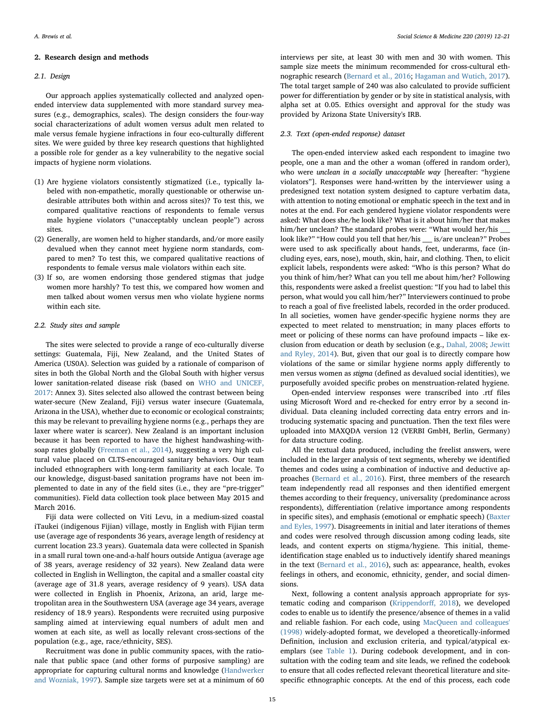#### 2. Research design and methods

## 2.1. Design

Our approach applies systematically collected and analyzed openended interview data supplemented with more standard survey measures (e.g., demographics, scales). The design considers the four-way social characterizations of adult women versus adult men related to male versus female hygiene infractions in four eco-culturally different sites. We were guided by three key research questions that highlighted a possible role for gender as a key vulnerability to the negative social impacts of hygiene norm violations.

- (1) Are hygiene violators consistently stigmatized (i.e., typically labeled with non-empathetic, morally questionable or otherwise undesirable attributes both within and across sites)? To test this, we compared qualitative reactions of respondents to female versus male hygiene violators ("unacceptably unclean people") across sites.
- (2) Generally, are women held to higher standards, and/or more easily devalued when they cannot meet hygiene norm standards, compared to men? To test this, we compared qualitative reactions of respondents to female versus male violators within each site.
- (3) If so, are women endorsing those gendered stigmas that judge women more harshly? To test this, we compared how women and men talked about women versus men who violate hygiene norms within each site.

## 2.2. Study sites and sample

The sites were selected to provide a range of eco-culturally diverse settings: Guatemala, Fiji, New Zealand, and the United States of America (US0A). Selection was guided by a rationale of comparison of sites in both the Global North and the Global South with higher versus lower sanitation-related disease risk (based on [WHO and UNICEF,](#page-9-0) [2017:](#page-9-0) Annex 3). Sites selected also allowed the contrast between being water-secure (New Zealand, Fiji) versus water insecure (Guatemala, Arizona in the USA), whether due to economic or ecological constraints; this may be relevant to prevailing hygiene norms (e.g., perhaps they are laxer where water is scarcer). New Zealand is an important inclusion because it has been reported to have the highest handwashing-withsoap rates globally [\(Freeman et al., 2014](#page-8-21)), suggesting a very high cultural value placed on CLTS-encouraged sanitary behaviors. Our team included ethnographers with long-term familiarity at each locale. To our knowledge, disgust-based sanitation programs have not been implemented to date in any of the field sites (i.e., they are "pre-trigger" communities). Field data collection took place between May 2015 and March 2016.

Fiji data were collected on Viti Levu, in a medium-sized coastal iTaukei (indigenous Fijian) village, mostly in English with Fijian term use (average age of respondents 36 years, average length of residency at current location 23.3 years). Guatemala data were collected in Spanish in a small rural town one-and-a-half hours outside Antigua (average age of 38 years, average residency of 32 years). New Zealand data were collected in English in Wellington, the capital and a smaller coastal city (average age of 31.8 years, average residency of 9 years). USA data were collected in English in Phoenix, Arizona, an arid, large metropolitan area in the Southwestern USA (average age 34 years, average residency of 18.9 years). Respondents were recruited using purposive sampling aimed at interviewing equal numbers of adult men and women at each site, as well as locally relevant cross-sections of the population (e.g., age, race/ethnicity, SES).

Recruitment was done in public community spaces, with the rationale that public space (and other forms of purposive sampling) are appropriate for capturing cultural norms and knowledge [\(Handwerker](#page-8-22) [and Wozniak, 1997\)](#page-8-22). Sample size targets were set at a minimum of 60 interviews per site, at least 30 with men and 30 with women. This sample size meets the minimum recommended for cross-cultural ethnographic research ([Bernard et al., 2016](#page-8-23); [Hagaman and Wutich, 2017](#page-8-24)). The total target sample of 240 was also calculated to provide sufficient power for differentiation by gender or by site in statistical analysis, with alpha set at 0.05. Ethics oversight and approval for the study was provided by Arizona State University's IRB.

## 2.3. Text (open-ended response) dataset

The open-ended interview asked each respondent to imagine two people, one a man and the other a woman (offered in random order), who were *unclean in a socially unacceptable way* [hereafter: "hygiene violators"]. Responses were hand-written by the interviewer using a predesigned text notation system designed to capture verbatim data, with attention to noting emotional or emphatic speech in the text and in notes at the end. For each gendered hygiene violator respondents were asked: What does she/he look like? What is it about him/her that makes him/her unclean? The standard probes were: "What would her/his look like?" "How could you tell that her/his \_\_\_\_ is/are unclean?" Probes were used to ask specifically about hands, feet, underarms, face (including eyes, ears, nose), mouth, skin, hair, and clothing. Then, to elicit explicit labels, respondents were asked: "Who is this person? What do you think of him/her? What can you tell me about him/her? Following this, respondents were asked a freelist question: "If you had to label this person, what would you call him/her?" Interviewers continued to probe to reach a goal of five freelisted labels, recorded in the order produced. In all societies, women have gender-specific hygiene norms they are expected to meet related to menstruation; in many places efforts to meet or policing of these norms can have profound impacts – like exclusion from education or death by seclusion (e.g., [Dahal, 2008](#page-8-25); [Jewitt](#page-9-37) [and Ryley, 2014](#page-9-37)). But, given that our goal is to directly compare how violations of the same or similar hygiene norms apply differently to men versus women as stigma (defined as devalued social identities), we purposefully avoided specific probes on menstruation-related hygiene.

Open-ended interview responses were transcribed into .rtf files using Microsoft Word and re-checked for entry error by a second individual. Data cleaning included correcting data entry errors and introducing systematic spacing and punctuation. Then the text files were uploaded into MAXQDA version 12 (VERBI GmbH, Berlin, Germany) for data structure coding.

All the textual data produced, including the freelist answers, were included in the larger analysis of text segments, whereby we identified themes and codes using a combination of inductive and deductive approaches [\(Bernard et al., 2016](#page-8-23)). First, three members of the research team independently read all responses and then identified emergent themes according to their frequency, universality (predominance across respondents), differentiation (relative importance among respondents in specific sites), and emphasis (emotional or emphatic speech) ([Baxter](#page-8-26) [and Eyles, 1997](#page-8-26)). Disagreements in initial and later iterations of themes and codes were resolved through discussion among coding leads, site leads, and content experts on stigma/hygiene. This initial, themeidentification stage enabled us to inductively identify shared meanings in the text ([Bernard et al., 2016\)](#page-8-23), such as: appearance, health, evokes feelings in others, and economic, ethnicity, gender, and social dimensions.

Next, following a content analysis approach appropriate for systematic coding and comparison [\(Krippendor](#page-9-38)ff, 2018), we developed codes to enable us to identify the presence/absence of themes in a valid and reliable fashion. For each code, using [MacQueen and colleagues'](#page-9-39) [\(1998\)](#page-9-39) widely-adopted format, we developed a theoretically-informed Definition, inclusion and exclusion criteria, and typical/atypical exemplars (see [Table 1](#page-4-0)). During codebook development, and in consultation with the coding team and site leads, we refined the codebook to ensure that all codes reflected relevant theoretical literature and sitespecific ethnographic concepts. At the end of this process, each code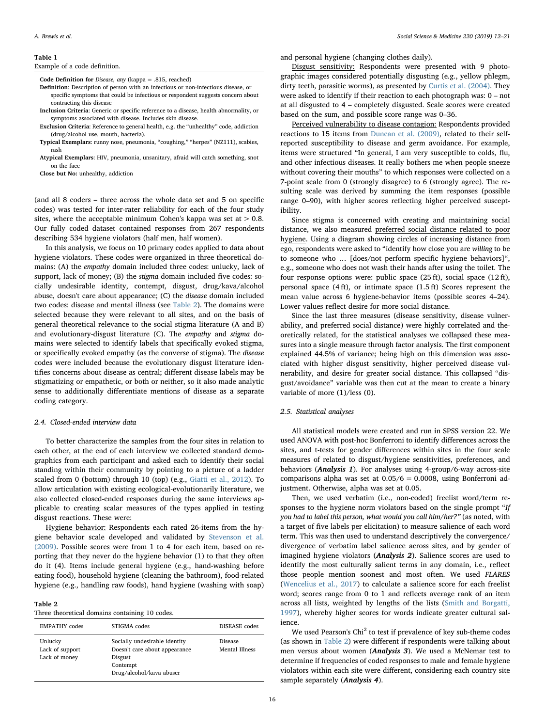#### <span id="page-4-0"></span>Table 1

#### Example of a code definition.

Code Definition for Disease, any (kappa = .815, reached)

- Definition: Description of person with an infectious or non-infectious disease, or specific symptoms that could be infectious or respondent suggests concern about contracting this disease
- Inclusion Criteria: Generic or specific reference to a disease, health abnormality, or symptoms associated with disease. Includes skin disease.
- Exclusion Criteria: Reference to general health, e.g. the "unhealthy" code, addiction (drug/alcohol use, mouth, bacteria).
- Typical Exemplars: runny nose, pneumonia, "coughing," "herpes" (NZ111), scabies, rash
- Atypical Exemplars: HIV, pneumonia, unsanitary, afraid will catch something, snot on the face

Close but No: unhealthy, addiction

(and all 8 coders – three across the whole data set and 5 on specific codes) was tested for inter-rater reliability for each of the four study sites, where the acceptable minimum Cohen's kappa was set at  $> 0.8$ . Our fully coded dataset contained responses from 267 respondents describing 534 hygiene violators (half men, half women).

In this analysis, we focus on 10 primary codes applied to data about hygiene violators. These codes were organized in three theoretical domains: (A) the empathy domain included three codes: unlucky, lack of support, lack of money; (B) the stigma domain included five codes: socially undesirable identity, contempt, disgust, drug/kava/alcohol abuse, doesn't care about appearance; (C) the disease domain included two codes: disease and mental illness (see [Table 2\)](#page-4-1). The domains were selected because they were relevant to all sites, and on the basis of general theoretical relevance to the social stigma literature (A and B) and evolutionary-disgust literature (C). The empathy and stigma domains were selected to identify labels that specifically evoked stigma, or specifically evoked empathy (as the converse of stigma). The disease codes were included because the evolutionary disgust literature identifies concerns about disease as central; different disease labels may be stigmatizing or empathetic, or both or neither, so it also made analytic sense to additionally differentiate mentions of disease as a separate coding category.

#### 2.4. Closed-ended interview data

To better characterize the samples from the four sites in relation to each other, at the end of each interview we collected standard demographics from each participant and asked each to identify their social standing within their community by pointing to a picture of a ladder scaled from 0 (bottom) through 10 (top) (e.g., [Giatti et al., 2012](#page-8-27)). To allow articulation with existing ecological-evolutionarily literature, we also collected closed-ended responses during the same interviews applicable to creating scalar measures of the types applied in testing disgust reactions. These were:

Hygiene behavior: Respondents each rated 26-items from the hygiene behavior scale developed and validated by [Stevenson et al.](#page-9-40) [\(2009\).](#page-9-40) Possible scores were from 1 to 4 for each item, based on reporting that they never do the hygiene behavior (1) to that they often do it (4). Items include general hygiene (e.g., hand-washing before eating food), household hygiene (cleaning the bathroom), food-related hygiene (e.g., handling raw foods), hand hygiene (washing with soap)

#### <span id="page-4-1"></span>Table 2

Three theoretical domains containing 10 codes.

| <b>EMPATHY</b> codes                        | STIGMA codes                                                                                                      | DISEASE codes                    |  |
|---------------------------------------------|-------------------------------------------------------------------------------------------------------------------|----------------------------------|--|
| Unlucky<br>Lack of support<br>Lack of money | Socially undesirable identity<br>Doesn't care about appearance<br>Disgust<br>Contempt<br>Drug/alcohol/kava abuser | <b>Disease</b><br>Mental Illness |  |

and personal hygiene (changing clothes daily).

Disgust sensitivity: Respondents were presented with 9 photographic images considered potentially disgusting (e.g., yellow phlegm, dirty teeth, parasitic worms), as presented by [Curtis et al. \(2004\).](#page-8-8) They were asked to identify if their reaction to each photograph was: 0 – not at all disgusted to 4 – completely disgusted. Scale scores were created based on the sum, and possible score range was 0–36.

Perceived vulnerability to disease contagion: Respondents provided reactions to 15 items from [Duncan et al. \(2009\)](#page-8-28), related to their selfreported susceptibility to disease and germ avoidance. For example, items were structured "In general, I am very susceptible to colds, flu, and other infectious diseases. It really bothers me when people sneeze without covering their mouths" to which responses were collected on a 7-point scale from 0 (strongly disagree) to 6 (strongly agree). The resulting scale was derived by summing the item responses (possible range 0–90), with higher scores reflecting higher perceived susceptibility.

Since stigma is concerned with creating and maintaining social distance, we also measured preferred social distance related to poor hygiene. Using a diagram showing circles of increasing distance from ego, respondents were asked to "identify how close you are willing to be to someone who … [does/not perform specific hygiene behaviors]", e.g., someone who does not wash their hands after using the toilet. The four response options were: public space (25 ft), social space (12 ft), personal space (4 ft), or intimate space (1.5 ft) Scores represent the mean value across 6 hygiene-behavior items (possible scores 4–24). Lower values reflect desire for more social distance.

Since the last three measures (disease sensitivity, disease vulnerability, and preferred social distance) were highly correlated and theoretically related, for the statistical analyses we collapsed these measures into a single measure through factor analysis. The first component explained 44.5% of variance; being high on this dimension was associated with higher disgust sensitivity, higher perceived disease vulnerability, and desire for greater social distance. This collapsed "disgust/avoidance" variable was then cut at the mean to create a binary variable of more  $(1)/$ less  $(0)$ .

## 2.5. Statistical analyses

All statistical models were created and run in SPSS version 22. We used ANOVA with post-hoc Bonferroni to identify differences across the sites, and t-tests for gender differences within sites in the four scale measures of related to disgust/hygiene sensitivities, preferences, and behaviors (*Analysis 1*). For analyses using 4-group/6-way across-site comparisons alpha was set at  $0.05/6 = 0.0008$ , using Bonferroni adjustment. Otherwise, alpha was set at 0.05.

Then, we used verbatim (i.e., non-coded) freelist word/term responses to the hygiene norm violators based on the single prompt "If you had to label this person, what would you call him/her?" (as noted, with a target of five labels per elicitation) to measure salience of each word term. This was then used to understand descriptively the convergence/ divergence of verbatim label salience across sites, and by gender of imagined hygiene violators (Analysis 2). Salience scores are used to identify the most culturally salient terms in any domain, i.e., reflect those people mention soonest and most often. We used FLARES ([Wencelius et al., 2017](#page-9-41)) to calculate a salience score for each freelist word; scores range from 0 to 1 and reflects average rank of an item across all lists, weighted by lengths of the lists [\(Smith and Borgatti,](#page-9-42) [1997\)](#page-9-42), whereby higher scores for words indicate greater cultural salience.

We used Pearson's Chi<sup>2</sup> to test if prevalence of key sub-theme codes (as shown in [Table 2\)](#page-4-1) were different if respondents were talking about men versus about women (Analysis 3). We used a McNemar test to determine if frequencies of coded responses to male and female hygiene violators within each site were different, considering each country site sample separately (Analysis 4).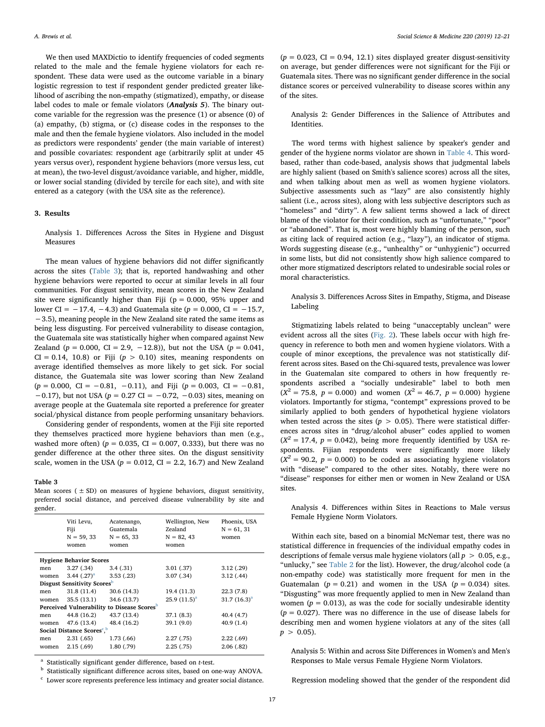We then used MAXDictio to identify frequencies of coded segments related to the male and the female hygiene violators for each respondent. These data were used as the outcome variable in a binary logistic regression to test if respondent gender predicted greater likelihood of ascribing the non-empathy (stigmatized), empathy, or disease label codes to male or female violators (Analysis 5). The binary outcome variable for the regression was the presence (1) or absence (0) of (a) empathy, (b) stigma, or (c) disease codes in the responses to the male and then the female hygiene violators. Also included in the model as predictors were respondents' gender (the main variable of interest) and possible covariates: respondent age (arbitrarily split at under 45 years versus over), respondent hygiene behaviors (more versus less, cut at mean), the two-level disgust/avoidance variable, and higher, middle, or lower social standing (divided by tercile for each site), and with site entered as a category (with the USA site as the reference).

## 3. Results

Analysis 1. Differences Across the Sites in Hygiene and Disgust Measures

The mean values of hygiene behaviors did not differ significantly across the sites ([Table 3\)](#page-5-0); that is, reported handwashing and other hygiene behaviors were reported to occur at similar levels in all four communities. For disgust sensitivity, mean scores in the New Zealand site were significantly higher than Fiji ( $p = 0.000$ , 95% upper and lower CI =  $-17.4$ ,  $-4.3$ ) and Guatemala site ( $p = 0.000$ , CI =  $-15.7$ , −3.5), meaning people in the New Zealand site rated the same items as being less disgusting. For perceived vulnerability to disease contagion, the Guatemala site was statistically higher when compared against New Zealand ( $p = 0.000$ , CI = 2.9, -12.8)), but not the USA ( $p = 0.041$ ,  $CI = 0.14, 10.8$  or Fiji ( $p > 0.10$ ) sites, meaning respondents on average identified themselves as more likely to get sick. For social distance, the Guatemala site was lower scoring than New Zealand  $(p = 0.000, \text{ CI} = -0.81, -0.11), \text{ and Fiji } (p = 0.003, \text{ CI} = -0.81,$  $-0.17$ ), but not USA ( $p = 0.27$  CI =  $-0.72$ ,  $-0.03$ ) sites, meaning on average people at the Guatemala site reported a preference for greater social/physical distance from people performing unsanitary behaviors.

Considering gender of respondents, women at the Fiji site reported they themselves practiced more hygiene behaviors than men (e.g., washed more often) ( $p = 0.035$ , CI = 0.007, 0.333), but there was no gender difference at the other three sites. On the disgust sensitivity scale, women in the USA ( $p = 0.012$ , CI = 2.2, 16.7) and New Zealand

#### <span id="page-5-0"></span>Table 3

Mean scores ( $\pm$  SD) on measures of hygiene behaviors, disgust sensitivity, preferred social distance, and perceived disease vulnerability by site and gender.

| Viti Levu,<br>Fiji<br>$N = 59, 33$<br>women            |                  | Acatenango,<br>Guatemala<br>$N = 65, 33$<br>women | Wellington, New<br>Zealand<br>$N = 82, 43$<br>women | Phoenix, USA<br>$N = 61, 31$<br>women |  |  |  |  |  |
|--------------------------------------------------------|------------------|---------------------------------------------------|-----------------------------------------------------|---------------------------------------|--|--|--|--|--|
| <b>Hygiene Behavior Scores</b>                         |                  |                                                   |                                                     |                                       |  |  |  |  |  |
| men                                                    | 3.27(.34)        | 3.4(0.31)                                         | 3.01(0.37)                                          | 3.12(0.29)                            |  |  |  |  |  |
| women                                                  | 3.44 $(.27)^{a}$ | 3.53(.23)                                         | 3.07(0.34)                                          | 3.12(0.44)                            |  |  |  |  |  |
| <b>Disgust Sensitivity Scores</b>                      |                  |                                                   |                                                     |                                       |  |  |  |  |  |
| men                                                    | 31.8(11.4)       | 30.6(14.3)                                        | 19.4 (11.3)                                         | 22.3(7.8)                             |  |  |  |  |  |
| women                                                  | 35.5(13.1)       | 34.6 (13.7)                                       | 25.9 $(11.5)^a$                                     | 31.7 $(16.3)^a$                       |  |  |  |  |  |
| Perceived Vulnerability to Disease Scores <sup>b</sup> |                  |                                                   |                                                     |                                       |  |  |  |  |  |
| men                                                    | 44.8 (16.2)      | 43.7 (13.4)                                       | 37.1(8.3)                                           | 40.4 (4.7)                            |  |  |  |  |  |
| women                                                  | 47.6 (13.4)      | 48.4 (16.2)                                       | 39.1 (9.0)                                          | 40.9(1.4)                             |  |  |  |  |  |
| Social Distance Scores <sup>c, b</sup>                 |                  |                                                   |                                                     |                                       |  |  |  |  |  |
| men                                                    | 2.31(65)         | 1.73(66)                                          | 2.27(0.75)                                          | 2.22(69)                              |  |  |  |  |  |
| women                                                  | 2.15(69)         | 1.80(0.79)                                        | 2.25(0.75)                                          | 2.06(0.82)                            |  |  |  |  |  |
|                                                        |                  |                                                   |                                                     |                                       |  |  |  |  |  |

<span id="page-5-1"></span><sup>a</sup> Statistically significant gender difference, based on t-test.

<span id="page-5-2"></span>**b** Statistically significant difference across sites, based on one-way ANOVA.

<span id="page-5-3"></span> $^{\rm c}$  Lower score represents preference less intimacy and greater social distance.

 $(p = 0.023, CI = 0.94, 12.1)$  sites displayed greater disgust-sensitivity on average, but gender differences were not significant for the Fiji or Guatemala sites. There was no significant gender difference in the social distance scores or perceived vulnerability to disease scores within any of the sites.

Analysis 2: Gender Differences in the Salience of Attributes and Identities.

The word terms with highest salience by speaker's gender and gender of the hygiene norms violator are shown in [Table 4.](#page-6-0) This wordbased, rather than code-based, analysis shows that judgmental labels are highly salient (based on Smith's salience scores) across all the sites, and when talking about men as well as women hygiene violators. Subjective assessments such as "lazy" are also consistently highly salient (i.e., across sites), along with less subjective descriptors such as "homeless" and "dirty". A few salient terms showed a lack of direct blame of the violator for their condition, such as "unfortunate," "poor" or "abandoned". That is, most were highly blaming of the person, such as citing lack of required action (e.g., "lazy"), an indicator of stigma. Words suggesting disease (e.g., "unhealthy" or "unhygienic") occurred in some lists, but did not consistently show high salience compared to other more stigmatized descriptors related to undesirable social roles or moral characteristics.

Analysis 3. Differences Across Sites in Empathy, Stigma, and Disease Labeling

Stigmatizing labels related to being "unacceptably unclean" were evident across all the sites ([Fig. 2](#page-7-0)). These labels occur with high frequency in reference to both men and women hygiene violators. With a couple of minor exceptions, the prevalence was not statistically different across sites. Based on the Chi-squared tests, prevalence was lower in the Guatemalan site compared to others in how frequently respondents ascribed a "socially undesirable" label to both men  $(X^2 = 75.8, p = 0.000)$  and women  $(X^2 = 46.7, p = 0.000)$  hygiene violators. Importantly for stigma, "contempt" expressions proved to be similarly applied to both genders of hypothetical hygiene violators when tested across the sites ( $p > 0.05$ ). There were statistical differences across sites in "drug/alcohol abuser" codes applied to women  $(X^2 = 17.4, p = 0.042)$ , being more frequently identified by USA respondents. Fijian respondents were significantly more likely  $(X^2 = 90.2, p = 0.000)$  to be coded as associating hygiene violators with "disease" compared to the other sites. Notably, there were no "disease" responses for either men or women in New Zealand or USA sites.

Analysis 4. Differences within Sites in Reactions to Male versus Female Hygiene Norm Violators.

Within each site, based on a binomial McNemar test, there was no statistical difference in frequencies of the individual empathy codes in descriptions of female versus male hygiene violators (all  $p > 0.05$ , e.g., "unlucky," see [Table 2](#page-4-1) for the list). However, the drug/alcohol code (a non-empathy code) was statistically more frequent for men in the Guatemalan ( $p = 0.21$ ) and women in the USA ( $p = 0.034$ ) sites. "Disgusting" was more frequently applied to men in New Zealand than women ( $p = 0.013$ ), as was the code for socially undesirable identity  $(p = 0.027)$ . There was no difference in the use of disease labels for describing men and women hygiene violators at any of the sites (all  $p > 0.05$ ).

Analysis 5: Within and across Site Differences in Women's and Men's Responses to Male versus Female Hygiene Norm Violators.

Regression modeling showed that the gender of the respondent did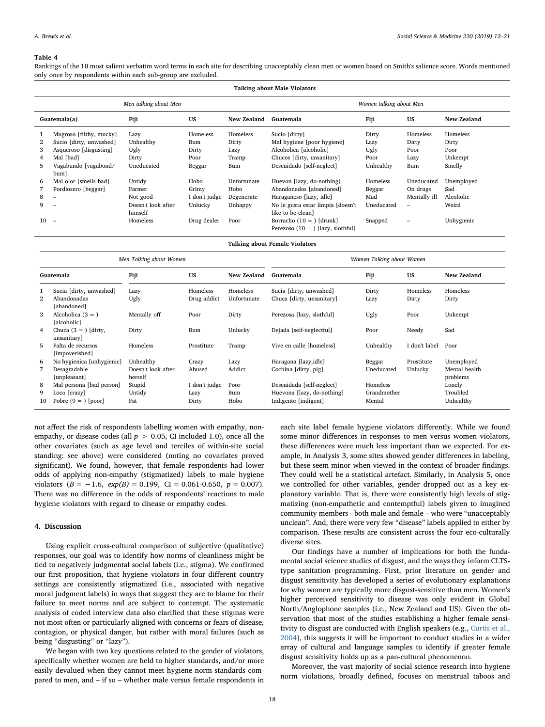#### <span id="page-6-0"></span>Table 4

Rankings of the 10 most salient verbatim word terms in each site for describing unacceptably clean men or women based on Smith's salience score. Words mentioned only once by respondents within each sub-group are excluded.

| <b>Talking about Male Violators</b> |                              |                               |               |                         |                                                                   |            |              |             |
|-------------------------------------|------------------------------|-------------------------------|---------------|-------------------------|-------------------------------------------------------------------|------------|--------------|-------------|
| Men talking about Men               |                              |                               |               | Women talking about Men |                                                                   |            |              |             |
|                                     | Guatemala(a)                 | Fiji                          | US            | New Zealand             | Guatemala                                                         | Fiji       | US           | New Zealand |
|                                     | Mugroso [filthy, mucky]      | Lazy                          | Homeless      | Homeless                | Sucio [dirty]                                                     | Dirty      | Homeless     | Homeless    |
| $\mathbf{2}$                        | Sucio [dirty, unwashed]      | Unhealthy                     | Bum           | Dirty                   | Mal hygiene [poor hygiene]                                        | Lazy       | Dirty        | Dirty       |
| 3                                   | Asqueroso [disgusting]       | Ugly                          | Dirty         | Lazy                    | Alcoholica [alcoholic]                                            | Ugly       | Poor         | Poor        |
| 4                                   | Mal [bad]                    | Dirty                         | Poor          | Tramp                   | Chucos [dirty, unsanitary]                                        | Poor       | Lazy         | Unkempt     |
| 5                                   | Vagabundo [vagabond/<br>bum] | Uneducated                    | Beggar        | Bum                     | Descuidado [self-neglect]                                         | Unhealthy  | Bum          | Smelly      |
| 6                                   | Mal olor [smells bad]        | Untidy                        | Hobo          | Unfortunate             | Huevon [lazy, do-nothing]                                         | Homeless   | Uneducated   | Unemployed  |
|                                     | Pordiosero [beggar]          | Farmer                        | Grimy         | Hobo                    | Abandonados [abandoned]                                           | Beggar     | On drugs     | Sad         |
| 8                                   | $\overline{\phantom{0}}$     | Not good                      | I don't judge | Degenerate              | Haraganeso [lazy, idle]                                           | Mad        | Mentally ill | Alcoholic   |
| 9                                   | $\overline{\phantom{0}}$     | Doesn't look after<br>himself | Unlucky       | Unhappy                 | No le gusta estar limpia [doesn't<br>like to be cleanl            | Uneducated |              | Weird       |
| 10                                  | $\overline{\phantom{a}}$     | Homeless                      | Drug dealer   | Poor                    | Borracho $(10 = )$ [drunk]<br>Perezoso $(10 = )$ [lazy, slothful] | Snapped    |              | Unhygienic  |

Talking about Female Violators

|              | Men Talking about Women               |                               |               |             | Women Talking about Women  |             |               |                           |
|--------------|---------------------------------------|-------------------------------|---------------|-------------|----------------------------|-------------|---------------|---------------------------|
|              | Guatemala                             | Fiji                          | US            | New Zealand | Guatemala                  | Fiji        | US            | New Zealand               |
|              | Sucia [dirty, unwashed]               | Lazy                          | Homeless      | Homeless    | Sucia [dirty, unwashed]    | Dirty       | Homeless      | Homeless                  |
| $\mathbf{2}$ | Abandonadas<br>[abandoned]            | Ugly                          | Drug addict   | Unfortunate | Chuca [dirty, unsanitary]  | Lazy        | Dirty         | Dirty                     |
| 3            | Alcoholica $(3 = )$<br>[alcoholic]    | Mentally off                  | Poor          | Dirty       | Perezosa [lazy, slothful]  | Ugly        | Poor          | Unkempt                   |
| 4            | Chuca $(3 = )$ [dirty,<br>unsanitary] | Dirty                         | Bum           | Unlucky     | Dejada [self-neglectful]   | Poor        | Needy         | Sad                       |
| 5            | Falta de recursos<br>[impoverished]   | Homeless                      | Prostitute    | Tramp       | Vive en calle [homeless]   | Unhealthy   | I don't label | Poor                      |
| 6            | No hygienica [unhygienic]             | Unhealthy                     | Crazy         | Lazy        | Haragana [lazy, idle]      | Beggar      | Prostitute    | Unemployed                |
| 7            | Desagradable<br>[unpleasant]          | Doesn't look after<br>herself | Abused        | Addict      | Cochina [dirty, pig]       | Uneducated  | Unlucky       | Mental health<br>problems |
| 8            | Mal persona [bad person]              | Stupid                        | I don't judge | Poor        | Descuidada [self-neglect]  | Homeless    |               | Lonely                    |
| 9            | Loca [crazy]                          | Untidy                        | Lazy          | Bum         | Huevona [lazy, do-nothing] | Grandmother |               | Troubled                  |
| 10           | Pobre $(9 = )$ [poor]                 | Fat                           | Dirty         | Hobo        | Indigente [indigent]       | Mental      |               | Unhealthy                 |

not affect the risk of respondents labelling women with empathy, nonempathy, or disease codes (all  $p > 0.05$ , CI included 1.0), once all the other covariates (such as age level and terciles of within-site social standing: see above) were considered (noting no covariates proved significant). We found, however, that female respondents had lower odds of applying non-empathy (stigmatized) labels to male hygiene violators  $(B = -1.6, exp(B) = 0.199, CI = 0.061-0.650, p = 0.007).$ There was no difference in the odds of respondents' reactions to male hygiene violators with regard to disease or empathy codes.

## 4. Discussion

Using explicit cross-cultural comparison of subjective (qualitative) responses, our goal was to identify how norms of cleanliness might be tied to negatively judgmental social labels (i.e., stigma). We confirmed our first proposition, that hygiene violators in four different country settings are consistently stigmatized (i.e., associated with negative moral judgment labels) in ways that suggest they are to blame for their failure to meet norms and are subject to contempt. The systematic analysis of coded interview data also clarified that these stigmas were not most often or particularly aligned with concerns or fears of disease, contagion, or physical danger, but rather with moral failures (such as being "disgusting" or "lazy").

We began with two key questions related to the gender of violators, specifically whether women are held to higher standards, and/or more easily devalued when they cannot meet hygiene norm standards compared to men, and – if so – whether male versus female respondents in

each site label female hygiene violators differently. While we found some minor differences in responses to men versus women violators, these differences were much less important than we expected. For example, in Analysis 3, some sites showed gender differences in labeling, but these seem minor when viewed in the context of broader findings. They could well be a statistical artefact. Similarly, in Analysis 5, once we controlled for other variables, gender dropped out as a key explanatory variable. That is, there were consistently high levels of stigmatizing (non-empathetic and contemptful) labels given to imagined community members - both male and female – who were "unacceptably unclean". And, there were very few "disease" labels applied to either by comparison. These results are consistent across the four eco-culturally diverse sites.

Our findings have a number of implications for both the fundamental social science studies of disgust, and the ways they inform CLTStype sanitation programming. First, prior literature on gender and disgust sensitivity has developed a series of evolutionary explanations for why women are typically more disgust-sensitive than men. Women's higher perceived sensitivity to disease was only evident in Global North/Anglophone samples (i.e., New Zealand and US). Given the observation that most of the studies establishing a higher female sensitivity to disgust are conducted with English speakers (e.g., [Curtis et al.,](#page-8-8) [2004\)](#page-8-8), this suggests it will be important to conduct studies in a wider array of cultural and language samples to identify if greater female disgust sensitivity holds up as a pan-cultural phenomenon.

Moreover, the vast majority of social science research into hygiene norm violations, broadly defined, focuses on menstrual taboos and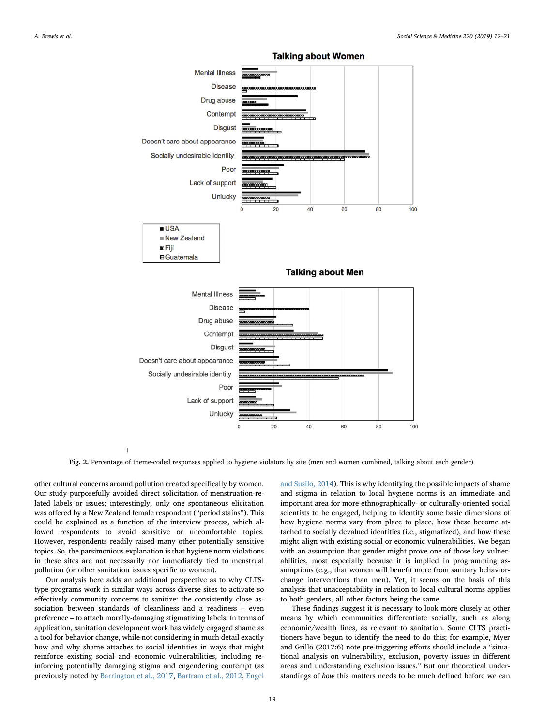<span id="page-7-0"></span>

**Talking about Women** 

Fig. 2. Percentage of theme-coded responses applied to hygiene violators by site (men and women combined, talking about each gender).

other cultural concerns around pollution created specifically by women. Our study purposefully avoided direct solicitation of menstruation-related labels or issues; interestingly, only one spontaneous elicitation was offered by a New Zealand female respondent ("period stains"). This could be explained as a function of the interview process, which allowed respondents to avoid sensitive or uncomfortable topics. However, respondents readily raised many other potentially sensitive topics. So, the parsimonious explanation is that hygiene norm violations in these sites are not necessarily nor immediately tied to menstrual pollution (or other sanitation issues specific to women).

Our analysis here adds an additional perspective as to why CLTStype programs work in similar ways across diverse sites to activate so effectively community concerns to sanitize: the consistently close association between standards of cleanliness and a readiness – even preference – to attach morally-damaging stigmatizing labels. In terms of application, sanitation development work has widely engaged shame as a tool for behavior change, while not considering in much detail exactly how and why shame attaches to social identities in ways that might reinforce existing social and economic vulnerabilities, including reinforcing potentially damaging stigma and engendering contempt (as previously noted by [Barrington et al., 2017](#page-8-17), [Bartram et al., 2012,](#page-8-11) [Engel](#page-8-13)

[and Susilo, 2014\)](#page-8-13). This is why identifying the possible impacts of shame and stigma in relation to local hygiene norms is an immediate and important area for more ethnographically- or culturally-oriented social scientists to be engaged, helping to identify some basic dimensions of how hygiene norms vary from place to place, how these become attached to socially devalued identities (i.e., stigmatized), and how these might align with existing social or economic vulnerabilities. We began with an assumption that gender might prove one of those key vulnerabilities, most especially because it is implied in programming assumptions (e.g., that women will benefit more from sanitary behaviorchange interventions than men). Yet, it seems on the basis of this analysis that unacceptability in relation to local cultural norms applies to both genders, all other factors being the same.

These findings suggest it is necessary to look more closely at other means by which communities differentiate socially, such as along economic/wealth lines, as relevant to sanitation. Some CLTS practitioners have begun to identify the need to do this; for example, Myer and Grillo (2017:6) note pre-triggering efforts should include a "situational analysis on vulnerability, exclusion, poverty issues in different areas and understanding exclusion issues." But our theoretical understandings of how this matters needs to be much defined before we can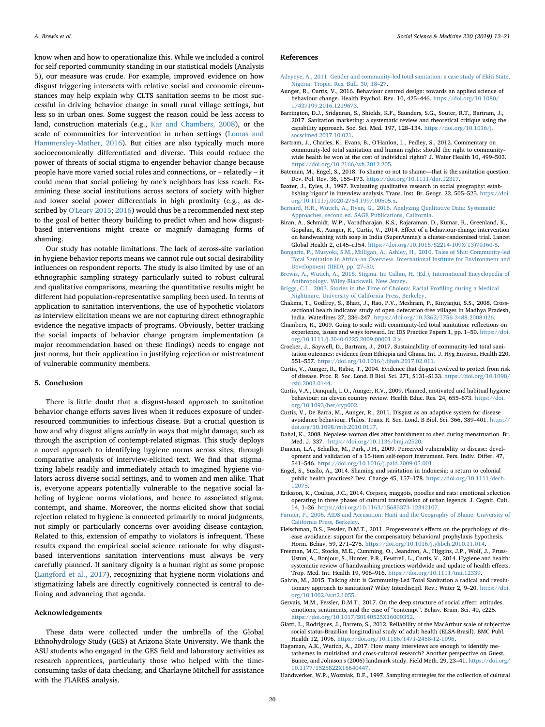know when and how to operationalize this. While we included a control for self-reported community standing in our statistical models (Analysis 5), our measure was crude. For example, improved evidence on how disgust triggering intersects with relative social and economic circumstances may help explain why CLTS sanitation seems to be most successful in driving behavior change in small rural village settings, but less so in urban ones. Some suggest the reason could be less access to land, construction materials (e.g., [Kar and Chambers, 2008](#page-9-5)), or the scale of communities for intervention in urban settings [\(Lomas and](#page-9-19) [Hammersley-Mather, 2016\)](#page-9-19). But cities are also typically much more socioeconomically differentiated and diverse. This could reduce the power of threats of social stigma to engender behavior change because people have more varied social roles and connections, or – relatedly – it could mean that social policing by one's neighbors has less reach. Examining these social institutions across sectors of society with higher and lower social power differentials in high proximity (e.g., as described by [O'Leary 2015;](#page-9-43) [2016\)](#page-9-44) would thus be a recommended next step to the goal of better theory building to predict when and how disgustbased interventions might create or magnify damaging forms of shaming.

Our study has notable limitations. The lack of across-site variation in hygiene behavior reports means we cannot rule out social desirability influences on respondent reports. The study is also limited by use of an ethnographic sampling strategy particularly suited to robust cultural and qualitative comparisons, meaning the quantitative results might be different had population-representative sampling been used. In terms of application to sanitation interventions, the use of hypothetic violators as interview elicitation means we are not capturing direct ethnographic evidence the negative impacts of programs. Obviously, better tracking the social impacts of behavior change program implementation (a major recommendation based on these findings) needs to engage not just norms, but their application in justifying rejection or mistreatment of vulnerable community members.

#### 5. Conclusion

There is little doubt that a disgust-based approach to sanitation behavior change efforts saves lives when it reduces exposure of underresourced communities to infectious disease. But a crucial question is how and why disgust aligns socially in ways that might damage, such as through the ascription of contempt-related stigmas. This study deploys a novel approach to identifying hygiene norms across sites, through comparative analysis of interview-elicited text. We find that stigmatizing labels readily and immediately attach to imagined hygiene violators across diverse social settings, and to women and men alike. That is, everyone appears potentially vulnerable to the negative social labeling of hygiene norms violations, and hence to associated stigma, contempt, and shame. Moreover, the norms elicited show that social rejection related to hygiene is connected primarily to moral judgments, not simply or particularly concerns over avoiding disease contagion. Related to this, extension of empathy to violators is infrequent. These results expand the empirical social science rationale for why disgustbased interventions sanitation interventions must always be very carefully planned. If sanitary dignity is a human right as some propose ([Langford et al., 2017\)](#page-9-45), recognizing that hygiene norm violations and stigmatizing labels are directly cognitively connected is central to defining and advancing that agenda.

# Acknowledgements

These data were collected under the umbrella of the Global Ethnohydrology Study (GES) at Arizona State University. We thank the ASU students who engaged in the GES field and laboratory activities as research apprentices, particularly those who helped with the timeconsuming tasks of data checking, and Charlayne Mitchell for assistance with the FLARES analysis.

#### References

- <span id="page-8-18"></span>[Adeyeye, A., 2011. Gender and community-led total sanitation: a case study of Ekiti State,](http://refhub.elsevier.com/S0277-9536(18)30610-5/sref1) [Nigeria. Tropic. Res. Bull. 30, 18](http://refhub.elsevier.com/S0277-9536(18)30610-5/sref1)–27.
- <span id="page-8-6"></span>Aunger, R., Curtis, V., 2016. Behaviour centred design: towards an applied science of behaviour change. Health Psychol. Rev. 10, 425–446. [https://doi.org/10.1080/](https://doi.org/10.1080/17437199.2016.1219673) [17437199.2016.1219673](https://doi.org/10.1080/17437199.2016.1219673).
- <span id="page-8-17"></span>Barrington, D.J., Sridgaran, S., Shields, K.F., Saunders, S.G., Souter, R.T., Bartram, J., 2017. Sanitation marketing: a systematic review and theoretical critique using the capability approach. Soc. Sci. Med. 197, 128–134. [https://doi.org/10.1016/j.](https://doi.org/10.1016/j.socscimed.2017.10.021) [socscimed.2017.10.021.](https://doi.org/10.1016/j.socscimed.2017.10.021)
- <span id="page-8-11"></span>Bartram, J., Charles, K., Evans, B., O'Hanlon, L., Pedley, S., 2012. Commentary on community-led total sanitation and human rights: should the right to communitywide health be won at the cost of individual rights? J. Water Health 10, 499–503. [https://doi.org/10.2166/wh.2012.205.](https://doi.org/10.2166/wh.2012.205)
- <span id="page-8-14"></span>Bateman, M., Engel, S., 2018. To shame or not to shame—that is the sanitation question. Dev. Pol. Rev. 36, 155–173. [https://doi.org/10.1111/dpr.12317.](https://doi.org/10.1111/dpr.12317)
- <span id="page-8-26"></span>Baxter, J., Eyles, J., 1997. Evaluating qualitative research in social geography: establishing 'rigour' in interview analysis. Trans. Inst. Br. Geogr. 22, 505–525. [https://doi.](https://doi.org/10.1111/j.0020-2754.1997.00505.x) [org/10.1111/j.0020-2754.1997.00505.x.](https://doi.org/10.1111/j.0020-2754.1997.00505.x)
- <span id="page-8-23"></span>[Bernard, H.R., Wutich, A., Ryan, G., 2016. Analyzing Qualitative Data: Systematic](http://refhub.elsevier.com/S0277-9536(18)30610-5/sref7) [Approaches, second ed. SAGE Publications, California.](http://refhub.elsevier.com/S0277-9536(18)30610-5/sref7)
- <span id="page-8-0"></span>Biran, A., Schmidt, W.P., Varadharajan, K.S., Rajaraman, D., Kumar, R., Greenland, K., Gopalan, B., Aunger, R., Curtis, V., 2014. Effect of a behaviour-change intervention on handwashing with soap in India (SuperAmma): a cluster-randomised trial. Lancet Global Health 2, e145–e154. [https://doi.org/10.1016/S2214-109X\(13\)70160-8](https://doi.org/10.1016/S2214-109X(13)70160-8).
- <span id="page-8-2"></span>[Bongartz, P., Musyoki, S.M., Milligan, A., Ashley, H., 2010. Tales of Shit: Community-led](http://refhub.elsevier.com/S0277-9536(18)30610-5/sref9) Total Sanitation in Africa–[an Overview. International Institute for Environment and](http://refhub.elsevier.com/S0277-9536(18)30610-5/sref9) [Development \(IIED\), pp. 27](http://refhub.elsevier.com/S0277-9536(18)30610-5/sref9)–50.
- <span id="page-8-12"></span>[Brewis, A., Wutich, A., 2018. Stigma. In: Callan, H. \(Ed.\), International Encyclopedia of](http://refhub.elsevier.com/S0277-9536(18)30610-5/sref10) [Anthropology. Wiley-Blackwell, New Jersey](http://refhub.elsevier.com/S0277-9536(18)30610-5/sref10).
- <span id="page-8-15"></span>[Briggs, C.L., 2003. Stories in the Time of Cholera: Racial Pro](http://refhub.elsevier.com/S0277-9536(18)30610-5/sref11)filing during a Medical [Nightmare. University of California Press, Berkeley](http://refhub.elsevier.com/S0277-9536(18)30610-5/sref11).
- <span id="page-8-4"></span>Chakma, T., Godfrey, S., Bhatt, J., Rao, P.V., Meshram, P., Kinyanjui, S.S., 2008. Crosssectional health indicator study of open defecation-free villages in Madhya Pradesh, India. Waterlines 27, 236–247. <https://doi.org/10.3362/1756-3488.2008.026>.
- <span id="page-8-19"></span>Chambers, R., 2009. Going to scale with community‐led total sanitation: reflections on experience, issues and ways forward. In: IDS Practice Papers 1, pp. 1–50. [https://doi.](https://doi.org/10.1111/j.2040-0225.2009.00001_2.x) [org/10.1111/j.2040-0225.2009.00001\\_2.x](https://doi.org/10.1111/j.2040-0225.2009.00001_2.x).
- <span id="page-8-5"></span>Crocker, J., Saywell, D., Bartram, J., 2017. Sustainability of community-led total sanitation outcomes: evidence from Ethiopia and Ghana. Int. J. Hyg Environ. Health 220, 551–557. [https://doi.org/10.1016/j.ijheh.2017.02.011.](https://doi.org/10.1016/j.ijheh.2017.02.011)
- <span id="page-8-8"></span>Curtis, V., Aunger, R., Rabie, T., 2004. Evidence that disgust evolved to protect from risk of disease. Proc. R. Soc. Lond. B Biol. Sci. 271, S131–S133. [https://doi.org/10.1098/](https://doi.org/10.1098/rsbl.2003.0144) [rsbl.2003.0144](https://doi.org/10.1098/rsbl.2003.0144).
- <span id="page-8-3"></span>Curtis, V.A., Danquah, L.O., Aunger, R.V., 2009. Planned, motivated and habitual hygiene behaviour: an eleven country review. Health Educ. Res. 24, 655–673. [https://doi.](https://doi.org/10.1093/her/cyp002) [org/10.1093/her/cyp002.](https://doi.org/10.1093/her/cyp002)
- <span id="page-8-7"></span>Curtis, V., De Barra, M., Aunger, R., 2011. Disgust as an adaptive system for disease avoidance behaviour. Philos. Trans. R. Soc. Lond. B Biol. Sci. 366, 389–401. [https://](https://doi.org/10.1098/rstb.2010.0117) [doi.org/10.1098/rstb.2010.0117](https://doi.org/10.1098/rstb.2010.0117).
- <span id="page-8-25"></span>Dahal, K., 2008. Nepalese woman dies after banishment to shed during menstruation. Br. Med. J. 337. [https://doi.org/10.1136/bmj.a2520.](https://doi.org/10.1136/bmj.a2520)
- <span id="page-8-28"></span>Duncan, L.A., Schaller, M., Park, J.H., 2009. Perceived vulnerability to disease: development and validation of a 15-item self-report instrument. Pers. Indiv. Differ. 47, 541–546. [https://doi.org/10.1016/j.paid.2009.05.001.](https://doi.org/10.1016/j.paid.2009.05.001)
- <span id="page-8-13"></span>Engel, S., Susilo, A., 2014. Shaming and sanitation in Indonesia: a return to colonial public health practices? Dev. Change 45, 157–178. [https://doi.org/10.1111/dech.](https://doi.org/10.1111/dech.12075) [12075.](https://doi.org/10.1111/dech.12075)
- <span id="page-8-9"></span>Eriksson, K., Coultas, J.C., 2014. Corpses, maggots, poodles and rats: emotional selection operating in three phases of cultural transmission of urban legends. J. Cognit. Cult. 14, 1–26. [https://doi.org/10.1163/15685373-12342107.](https://doi.org/10.1163/15685373-12342107)
- <span id="page-8-16"></span>[Farmer, P., 2006. AIDS and Accusation: Haiti and the Geography of Blame. University of](http://refhub.elsevier.com/S0277-9536(18)30610-5/sref22) [California Press, Berkeley](http://refhub.elsevier.com/S0277-9536(18)30610-5/sref22).
- <span id="page-8-20"></span>Fleischman, D.S., Fessler, D.M.T., 2011. Progesterone's effects on the psychology of disease avoidance: support for the compensatory behavioral prophylaxis hypothesis. Horm. Behav. 59, 271–275. [https://doi.org/10.1016/j.yhbeh.2010.11.014.](https://doi.org/10.1016/j.yhbeh.2010.11.014)
- <span id="page-8-21"></span>Freeman, M.C., Stocks, M.E., Cumming, O., Jeandron, A., Higgins, J.P., Wolf, J., Pruss-Ustun, A., Bonjour, S., Hunter, P.R., Fewtrell, L., Curtis, V., 2014. Hygiene and health: systematic review of handwashing practices worldwide and update of health effects. Trop. Med. Int. Health 19, 906–916. [https://doi.org/10.1111/tmi.12339.](https://doi.org/10.1111/tmi.12339)
- <span id="page-8-1"></span>Galvin, M., 2015. Talking shit: is Community‐Led Total Sanitation a radical and revolutionary approach to sanitation? Wiley Interdiscipl. Rev.: Water 2, 9–20. [https://doi.](https://doi.org/10.1002/wat2.1055) [org/10.1002/wat2.1055.](https://doi.org/10.1002/wat2.1055)
- <span id="page-8-10"></span>Gervais, M.M., Fessler, D.M.T., 2017. On the deep structure of social affect: attitudes, emotions, sentiments, and the case of "contempt". Behav. Brain. Sci. 40, e225. [https://doi.org/10.1017/S0140525X16000352.](https://doi.org/10.1017/S0140525X16000352)
- <span id="page-8-27"></span>Giatti, L., Rodrigues, J., Barreto, S., 2012. Reliability of the MacArthur scale of subjective social status-Brazilian longitudinal study of adult health (ELSA-Brasil). BMC Publ. Health 12, 1096. <https://doi.org/10.1186/1471-2458-12-1096>.
- <span id="page-8-24"></span>Hagaman, A.K., Wutich, A., 2017. How many interviews are enough to identify metathemes in multisited and cross-cultural research? Another perspective on Guest, Bunce, and Johnson's (2006) landmark study. Field Meth. 29, 23–41. [https://doi.org/](https://doi.org/10.1177/1525822X16640447) [10.1177/1525822X16640447.](https://doi.org/10.1177/1525822X16640447)
- <span id="page-8-22"></span>Handwerker, W.P., Wozniak, D.F., 1997. Sampling strategies for the collection of cultural